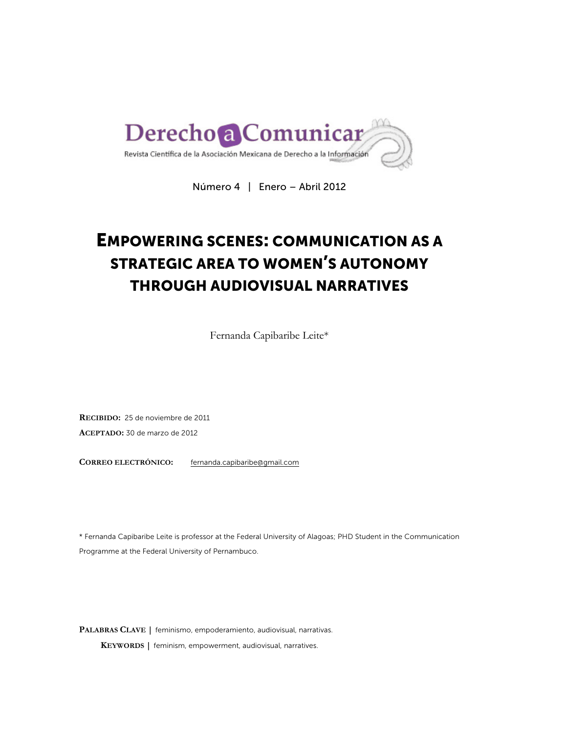

Número 4 | Enero – Abril 2012

# EMPOWERING SCENES: COMMUNICATION AS A STRATEGIC AREA TO WOMEN'S AUTONOMY THROUGH AUDIOVISUAL NARRATIVES

Fernanda Capibaribe Leite\*

**RECIBIDO:** 25 de noviembre de 2011 **ACEPTADO:** 30 de marzo de 2012

**CORREO ELECTRÓNICO:** fernanda.capibaribe@gmail.com

\* Fernanda Capibaribe Leite is professor at the Federal University of Alagoas; PHD Student in the Communication Programme at the Federal University of Pernambuco.

**PALABRAS CLAVE |** feminismo, empoderamiento, audiovisual, narrativas. **KEYWORDS |** feminism, empowerment, audiovisual, narratives.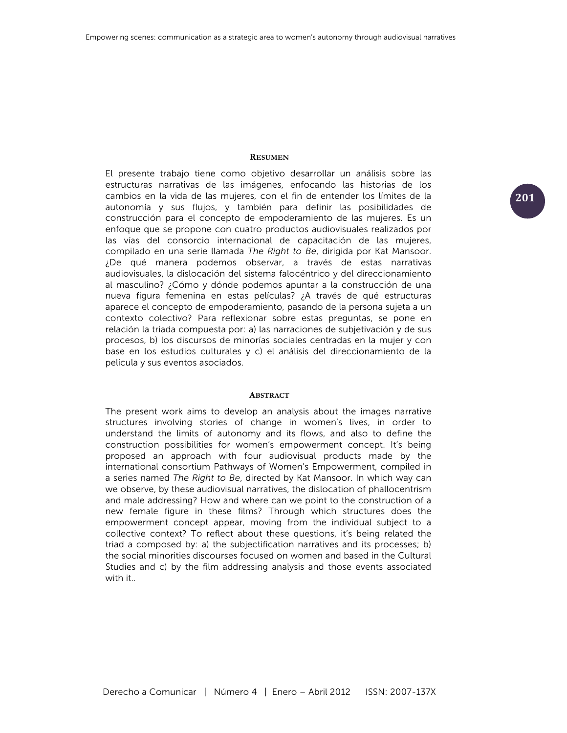## **RESUMEN**

El presente trabajo tiene como objetivo desarrollar un análisis sobre las estructuras narrativas de las imágenes, enfocando las historias de los cambios en la vida de las mujeres, con el fin de entender los límites de la autonomía y sus flujos, y también para definir las posibilidades de construcción para el concepto de empoderamiento de las mujeres. Es un enfoque que se propone con cuatro productos audiovisuales realizados por las vías del consorcio internacional de capacitación de las mujeres, compilado en una serie llamada *The Right to Be*, dirigida por Kat Mansoor. ¿De qué manera podemos observar, a través de estas narrativas audiovisuales, la dislocación del sistema falocéntrico y del direccionamiento al masculino? ¿Cómo y dónde podemos apuntar a la construcción de una nueva figura femenina en estas películas? ¿A través de qué estructuras aparece el concepto de empoderamiento, pasando de la persona sujeta a un contexto colectivo? Para reflexionar sobre estas preguntas, se pone en relación la triada compuesta por: a) las narraciones de subjetivación y de sus procesos, b) los discursos de minorías sociales centradas en la mujer y con base en los estudios culturales y c) el análisis del direccionamiento de la película y sus eventos asociados.

#### **ABSTRACT**

The present work aims to develop an analysis about the images narrative structures involving stories of change in women's lives, in order to understand the limits of autonomy and its flows, and also to define the construction possibilities for women's empowerment concept. It's being proposed an approach with four audiovisual products made by the international consortium Pathways of Women's Empowerment, compiled in a series named *The Right to Be*, directed by Kat Mansoor. In which way can we observe, by these audiovisual narratives, the dislocation of phallocentrism and male addressing? How and where can we point to the construction of a new female figure in these films? Through which structures does the empowerment concept appear, moving from the individual subject to a collective context? To reflect about these questions, it's being related the triad a composed by: a) the subjectification narratives and its processes; b) the social minorities discourses focused on women and based in the Cultural Studies and c) by the film addressing analysis and those events associated with it..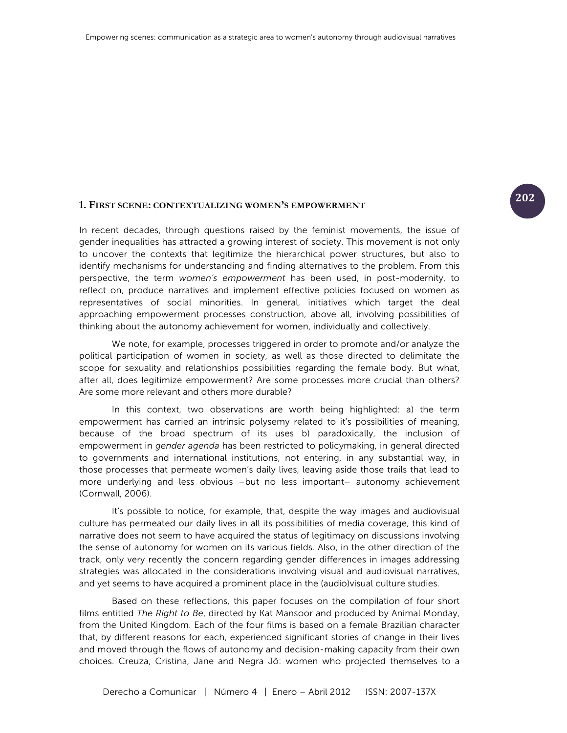# **<sup>202</sup> 1. FIRST SCENE: CONTEXTUALIZING WOMEN'S EMPOWERMENT**

In recent decades, through questions raised by the feminist movements, the issue of gender inequalities has attracted a growing interest of society. This movement is not only to uncover the contexts that legitimize the hierarchical power structures, but also to identify mechanisms for understanding and finding alternatives to the problem. From this perspective, the term *women's empowerment* has been used, in post-modernity, to reflect on, produce narratives and implement effective policies focused on women as representatives of social minorities. In general, initiatives which target the deal approaching empowerment processes construction, above all, involving possibilities of thinking about the autonomy achievement for women, individually and collectively.

We note, for example, processes triggered in order to promote and/or analyze the political participation of women in society, as well as those directed to delimitate the scope for sexuality and relationships possibilities regarding the female body. But what, after all, does legitimize empowerment? Are some processes more crucial than others? Are some more relevant and others more durable?

In this context, two observations are worth being highlighted: a) the term empowerment has carried an intrinsic polysemy related to it's possibilities of meaning, because of the broad spectrum of its uses b) paradoxically, the inclusion of empowerment in *gender agenda* has been restricted to policymaking, in general directed to governments and international institutions, not entering, in any substantial way, in those processes that permeate women's daily lives, leaving aside those trails that lead to more underlying and less obvious –but no less important– autonomy achievement (Cornwall, 2006).

It's possible to notice, for example, that, despite the way images and audiovisual culture has permeated our daily lives in all its possibilities of media coverage, this kind of narrative does not seem to have acquired the status of legitimacy on discussions involving the sense of autonomy for women on its various fields. Also, in the other direction of the track, only very recently the concern regarding gender differences in images addressing strategies was allocated in the considerations involving visual and audiovisual narratives, and yet seems to have acquired a prominent place in the (audio)visual culture studies.

Based on these reflections, this paper focuses on the compilation of four short films entitled *The Right to Be*, directed by Kat Mansoor and produced by Animal Monday, from the United Kingdom. Each of the four films is based on a female Brazilian character that, by different reasons for each, experienced significant stories of change in their lives and moved through the flows of autonomy and decision-making capacity from their own choices. Creuza, Cristina, Jane and Negra Jô: women who projected themselves to a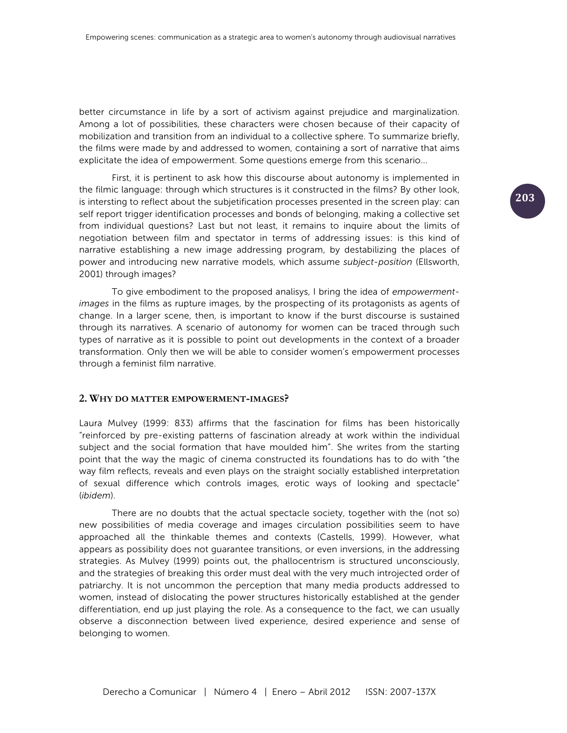better circumstance in life by a sort of activism against prejudice and marginalization. Among a lot of possibilities, these characters were chosen because of their capacity of mobilization and transition from an individual to a collective sphere. To summarize briefly, the films were made by and addressed to women, containing a sort of narrative that aims explicitate the idea of empowerment. Some questions emerge from this scenario...

First, it is pertinent to ask how this discourse about autonomy is implemented in the filmic language: through which structures is it constructed in the films? By other look, is intersting to reflect about the subjetification processes presented in the screen play: can self report trigger identification processes and bonds of belonging, making a collective set from individual questions? Last but not least, it remains to inquire about the limits of negotiation between film and spectator in terms of addressing issues: is this kind of narrative establishing a new image addressing program, by destabilizing the places of power and introducing new narrative models, which assume *subject-position* (Ellsworth, 2001) through images?

To give embodiment to the proposed analisys, I bring the idea of *empowermentimages* in the films as rupture images, by the prospecting of its protagonists as agents of change. In a larger scene, then, is important to know if the burst discourse is sustained through its narratives. A scenario of autonomy for women can be traced through such types of narrative as it is possible to point out developments in the context of a broader transformation. Only then we will be able to consider women's empowerment processes through a feminist film narrative.

#### **2. WHY DO MATTER EMPOWERMENT-IMAGES?**

Laura Mulvey (1999: 833) affirms that the fascination for films has been historically "reinforced by pre-existing patterns of fascination already at work within the individual subject and the social formation that have moulded him". She writes from the starting point that the way the magic of cinema constructed its foundations has to do with "the way film reflects, reveals and even plays on the straight socially established interpretation of sexual difference which controls images, erotic ways of looking and spectacle" (*ibidem*).

There are no doubts that the actual spectacle society, together with the (not so) new possibilities of media coverage and images circulation possibilities seem to have approached all the thinkable themes and contexts (Castells, 1999). However, what appears as possibility does not guarantee transitions, or even inversions, in the addressing strategies. As Mulvey (1999) points out, the phallocentrism is structured unconsciously, and the strategies of breaking this order must deal with the very much introjected order of patriarchy. It is not uncommon the perception that many media products addressed to women, instead of dislocating the power structures historically established at the gender differentiation, end up just playing the role. As a consequence to the fact, we can usually observe a disconnection between lived experience, desired experience and sense of belonging to women.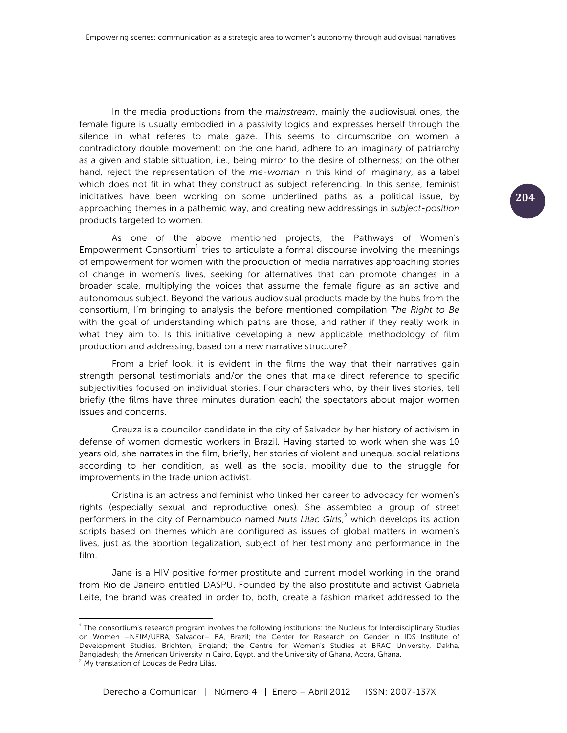In the media productions from the *mainstream*, mainly the audiovisual ones, the female figure is usually embodied in a passivity logics and expresses herself through the silence in what referes to male gaze. This seems to circumscribe on women a contradictory double movement: on the one hand, adhere to an imaginary of patriarchy as a given and stable sittuation, i.e., being mirror to the desire of otherness; on the other hand, reject the representation of the *me-woman* in this kind of imaginary, as a label which does not fit in what they construct as subject referencing. In this sense, feminist inicitatives have been working on some underlined paths as a political issue, by approaching themes in a pathemic way, and creating new addressings in *subject-position* products targeted to women.

As one of the above mentioned projects, the Pathways of Women's Empowerment Consortium<sup>1</sup> tries to articulate a formal discourse involving the meanings of empowerment for women with the production of media narratives approaching stories of change in women's lives, seeking for alternatives that can promote changes in a broader scale, multiplying the voices that assume the female figure as an active and autonomous subject. Beyond the various audiovisual products made by the hubs from the consortium, I'm bringing to analysis the before mentioned compilation *The Right to Be* with the goal of understanding which paths are those, and rather if they really work in what they aim to. Is this initiative developing a new applicable methodology of film production and addressing, based on a new narrative structure?

From a brief look, it is evident in the films the way that their narratives gain strength personal testimonials and/or the ones that make direct reference to specific subjectivities focused on individual stories. Four characters who, by their lives stories, tell briefly (the films have three minutes duration each) the spectators about major women issues and concerns.

Creuza is a councilor candidate in the city of Salvador by her history of activism in defense of women domestic workers in Brazil. Having started to work when she was 10 years old, she narrates in the film, briefly, her stories of violent and unequal social relations according to her condition, as well as the social mobility due to the struggle for improvements in the trade union activist.

Cristina is an actress and feminist who linked her career to advocacy for women's rights (especially sexual and reproductive ones). She assembled a group of street performers in the city of Pernambuco named *Nuts Lilac Girls*, <sup>2</sup> which develops its action scripts based on themes which are configured as issues of global matters in women's lives, just as the abortion legalization, subject of her testimony and performance in the film.

Jane is a HIV positive former prostitute and current model working in the brand from Rio de Janeiro entitled DASPU. Founded by the also prostitute and activist Gabriela Leite, the brand was created in order to, both, create a fashion market addressed to the

<sup>&</sup>lt;sup>1</sup> The consortium's research program involves the following institutions: the Nucleus for Interdisciplinary Studies on Women –NEIM/UFBA, Salvador– BA, Brazil; the Center for Research on Gender in IDS Institute of Development Studies, Brighton, England; the Centre for Women's Studies at BRAC University, Dakha, Bangladesh; the American University in Cairo, Egypt, and the University of Ghana, Accra, Ghana.

<sup>&</sup>lt;sup>2</sup> My translation of Loucas de Pedra Lilás.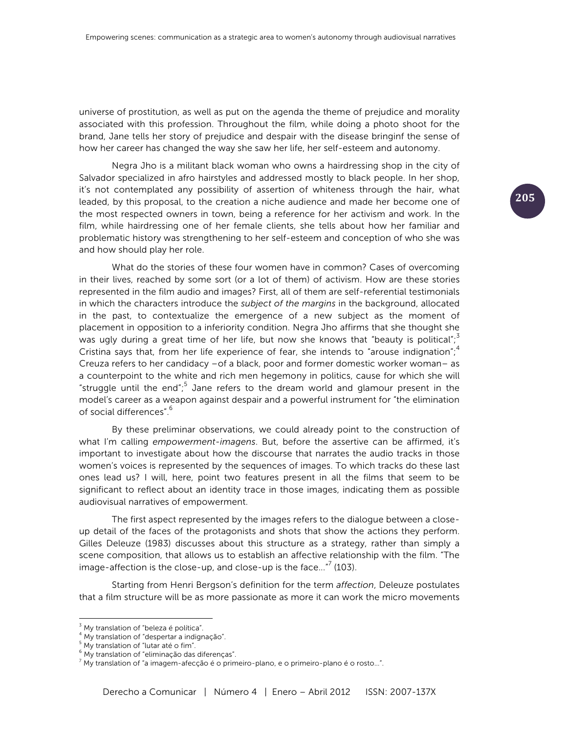universe of prostitution, as well as put on the agenda the theme of prejudice and morality associated with this profession. Throughout the film, while doing a photo shoot for the brand, Jane tells her story of prejudice and despair with the disease bringinf the sense of how her career has changed the way she saw her life, her self-esteem and autonomy.

Negra Jho is a militant black woman who owns a hairdressing shop in the city of Salvador specialized in afro hairstyles and addressed mostly to black people. In her shop, it's not contemplated any possibility of assertion of whiteness through the hair, what leaded, by this proposal, to the creation a niche audience and made her become one of the most respected owners in town, being a reference for her activism and work. In the film, while hairdressing one of her female clients, she tells about how her familiar and problematic history was strengthening to her self-esteem and conception of who she was and how should play her role.

What do the stories of these four women have in common? Cases of overcoming in their lives, reached by some sort (or a lot of them) of activism. How are these stories represented in the film audio and images? First, all of them are self-referential testimonials in which the characters introduce the *subject of the margins* in the background, allocated in the past, to contextualize the emergence of a new subject as the moment of placement in opposition to a inferiority condition. Negra Jho affirms that she thought she was ugly during a great time of her life, but now she knows that "beauty is political"; $\delta$ Cristina says that, from her life experience of fear, she intends to "arouse indignation";<sup>4</sup> Creuza refers to her candidacy –of a black, poor and former domestic worker woman– as a counterpoint to the white and rich men hegemony in politics, cause for which she will "struggle until the end";<sup>5</sup> Jane refers to the dream world and glamour present in the model's career as a weapon against despair and a powerful instrument for "the elimination of social differences".6

By these preliminar observations, we could already point to the construction of what I'm calling *empowerment-imagens*. But, before the assertive can be affirmed, it's important to investigate about how the discourse that narrates the audio tracks in those women's voices is represented by the sequences of images. To which tracks do these last ones lead us? I will, here, point two features present in all the films that seem to be significant to reflect about an identity trace in those images, indicating them as possible audiovisual narratives of empowerment.

The first aspect represented by the images refers to the dialogue between a closeup detail of the faces of the protagonists and shots that show the actions they perform. Gilles Deleuze (1983) discusses about this structure as a strategy, rather than simply a scene composition, that allows us to establish an affective relationship with the film. "The image-affection is the close-up, and close-up is the face..." $\prime$  (103).

Starting from Henri Bergson's definition for the term *affection*, Deleuze postulates that a film structure will be as more passionate as more it can work the micro movements

  $3$  My translation of "beleza é política".

<sup>&</sup>lt;sup>4</sup> My translation of "despertar a indignação".

 $<sup>5</sup>$  My translation of "lutar até o fim".</sup>

<sup>6</sup> My translation of "eliminação das diferenças".

 $^7$  My translation of "a imagem-afecção é o primeiro-plano, e o primeiro-plano é o rosto...".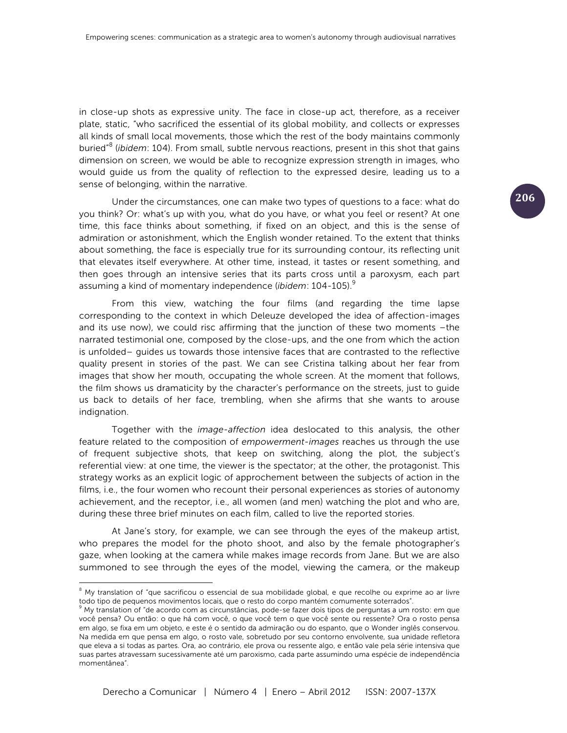in close-up shots as expressive unity. The face in close-up act, therefore, as a receiver plate, static, "who sacrificed the essential of its global mobility, and collects or expresses all kinds of small local movements, those which the rest of the body maintains commonly buried"<sup>8</sup> (*ibidem*: 104). From small, subtle nervous reactions, present in this shot that gains dimension on screen, we would be able to recognize expression strength in images, who would guide us from the quality of reflection to the expressed desire, leading us to a sense of belonging, within the narrative.

Under the circumstances, one can make two types of questions to a face: what do you think? Or: what's up with you, what do you have, or what you feel or resent? At one time, this face thinks about something, if fixed on an object, and this is the sense of admiration or astonishment, which the English wonder retained. To the extent that thinks about something, the face is especially true for its surrounding contour, its reflecting unit that elevates itself everywhere. At other time, instead, it tastes or resent something, and then goes through an intensive series that its parts cross until a paroxysm, each part assuming a kind of momentary independence (*ibidem*: 104-105).<sup>9</sup>

From this view, watching the four films (and regarding the time lapse corresponding to the context in which Deleuze developed the idea of affection-images and its use now), we could risc affirming that the junction of these two moments –the narrated testimonial one, composed by the close-ups, and the one from which the action is unfolded– guides us towards those intensive faces that are contrasted to the reflective quality present in stories of the past. We can see Cristina talking about her fear from images that show her mouth, occupating the whole screen. At the moment that follows, the film shows us dramaticity by the character's performance on the streets, just to guide us back to details of her face, trembling, when she afirms that she wants to arouse indignation.

Together with the *image-affection* idea deslocated to this analysis, the other feature related to the composition of *empowerment-images* reaches us through the use of frequent subjective shots, that keep on switching, along the plot, the subject's referential view: at one time, the viewer is the spectator; at the other, the protagonist. This strategy works as an explicit logic of approchement between the subjects of action in the films, i.e., the four women who recount their personal experiences as stories of autonomy achievement, and the receptor, i.e., all women (and men) watching the plot and who are, during these three brief minutes on each film, called to live the reported stories.

At Jane's story, for example, we can see through the eyes of the makeup artist, who prepares the model for the photo shoot, and also by the female photographer's gaze, when looking at the camera while makes image records from Jane. But we are also summoned to see through the eyes of the model, viewing the camera, or the makeup

 

<sup>&</sup>lt;sup>8</sup> My translation of "que sacrificou o essencial de sua mobilidade global, e que recolhe ou exprime ao ar livre todo tipo de pequenos movimentos locais, que o resto do corpo mantém comumente soterrados".

<sup>9</sup> My translation of "de acordo com as circunstâncias, pode-se fazer dois tipos de perguntas a um rosto: em que você pensa? Ou então: o que há com você, o que você tem o que você sente ou ressente? Ora o rosto pensa em algo, se fixa em um objeto, e este é o sentido da admiração ou do espanto, que o Wonder inglês conservou. Na medida em que pensa em algo, o rosto vale, sobretudo por seu contorno envolvente, sua unidade refletora que eleva a si todas as partes. Ora, ao contrário, ele prova ou ressente algo, e então vale pela série intensiva que suas partes atravessam sucessivamente até um paroxismo, cada parte assumindo uma espécie de independência momentânea".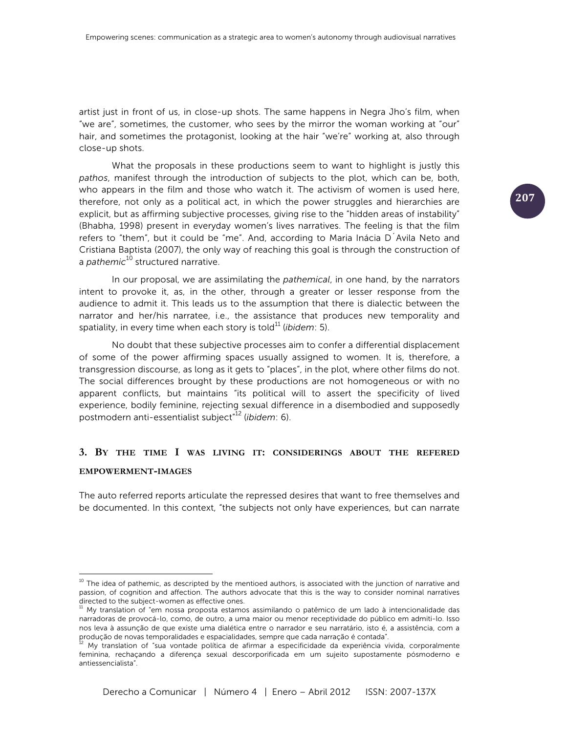artist just in front of us, in close-up shots. The same happens in Negra Jho's film, when "we are", sometimes, the customer, who sees by the mirror the woman working at "our" hair, and sometimes the protagonist, looking at the hair "we're" working at, also through close-up shots.

What the proposals in these productions seem to want to highlight is justly this *pathos*, manifest through the introduction of subjects to the plot, which can be, both, who appears in the film and those who watch it. The activism of women is used here, therefore, not only as a political act, in which the power struggles and hierarchies are explicit, but as affirming subjective processes, giving rise to the "hidden areas of instability" (Bhabha, 1998) present in everyday women's lives narratives. The feeling is that the film refers to "them", but it could be "me". And, according to Maria Inácia D´Avila Neto and Cristiana Baptista (2007), the only way of reaching this goal is through the construction of a *pathemic*<sup>10</sup> structured narrative.

In our proposal, we are assimilating the *pathemical*, in one hand, by the narrators intent to provoke it, as, in the other, through a greater or lesser response from the audience to admit it. This leads us to the assumption that there is dialectic between the narrator and her/his narratee, i.e., the assistance that produces new temporality and spatiality, in every time when each story is told<sup>11</sup> (*ibidem*: 5).

No doubt that these subjective processes aim to confer a differential displacement of some of the power affirming spaces usually assigned to women. It is, therefore, a transgression discourse, as long as it gets to "places", in the plot, where other films do not. The social differences brought by these productions are not homogeneous or with no apparent conflicts, but maintains "its political will to assert the specificity of lived experience, bodily feminine, rejecting sexual difference in a disembodied and supposedly postmodern anti-essentialist subject"<sup>12</sup> (*ibidem*: 6).

# **3. BY THE TIME I WAS LIVING IT: CONSIDERINGS ABOUT THE REFERED**

#### **EMPOWERMENT-IMAGES**

 

The auto referred reports articulate the repressed desires that want to free themselves and be documented. In this context, "the subjects not only have experiences, but can narrate

 $10$  The idea of pathemic, as descripted by the mentioed authors, is associated with the junction of narrative and passion, of cognition and affection. The authors advocate that this is the way to consider nominal narratives directed to the subject-women as effective ones.

 $11$  My translation of "em nossa proposta estamos assimilando o patêmico de um lado à intencionalidade das narradoras de provocá-lo, como, de outro, a uma maior ou menor receptividade do público em admiti-lo. Isso nos leva à assunção de que existe uma dialética entre o narrador e seu narratário, isto é, a assistência, com a<br>produção de novas temporalidades e espacialidades, sempre que cada narração é contada".

My translation of "sua vontade política de afirmar a especificidade da experiência vivida, corporalmente feminina, rechaçando a diferença sexual descorporificada em um sujeito supostamente pósmoderno e antiessencialista".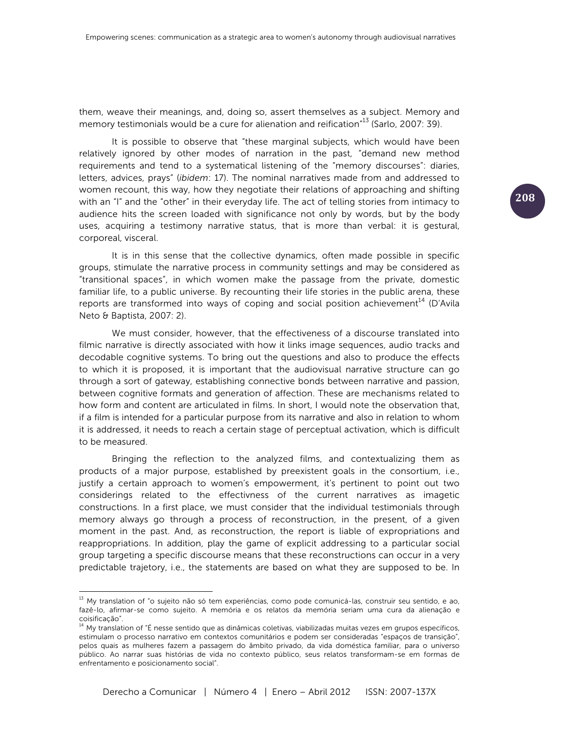them, weave their meanings, and, doing so, assert themselves as a subject. Memory and memory testimonials would be a cure for alienation and reification<sup>"13</sup> (Sarlo, 2007: 39).

It is possible to observe that "these marginal subjects, which would have been relatively ignored by other modes of narration in the past, "demand new method requirements and tend to a systematical listening of the "memory discourses": diaries, letters, advices, prays" (*ibidem*: 17). The nominal narratives made from and addressed to women recount, this way, how they negotiate their relations of approaching and shifting with an "I" and the "other" in their everyday life. The act of telling stories from intimacy to audience hits the screen loaded with significance not only by words, but by the body uses, acquiring a testimony narrative status, that is more than verbal: it is gestural, corporeal, visceral.

It is in this sense that the collective dynamics, often made possible in specific groups, stimulate the narrative process in community settings and may be considered as "transitional spaces", in which women make the passage from the private, domestic familiar life, to a public universe. By recounting their life stories in the public arena, these reports are transformed into ways of coping and social position achievement $^{14}$  (D'Avila Neto & Baptista, 2007: 2).

We must consider, however, that the effectiveness of a discourse translated into filmic narrative is directly associated with how it links image sequences, audio tracks and decodable cognitive systems. To bring out the questions and also to produce the effects to which it is proposed, it is important that the audiovisual narrative structure can go through a sort of gateway, establishing connective bonds between narrative and passion, between cognitive formats and generation of affection. These are mechanisms related to how form and content are articulated in films. In short, I would note the observation that, if a film is intended for a particular purpose from its narrative and also in relation to whom it is addressed, it needs to reach a certain stage of perceptual activation, which is difficult to be measured.

Bringing the reflection to the analyzed films, and contextualizing them as products of a major purpose, established by preexistent goals in the consortium, i.e., justify a certain approach to women's empowerment, it's pertinent to point out two considerings related to the effectivness of the current narratives as imagetic constructions. In a first place, we must consider that the individual testimonials through memory always go through a process of reconstruction, in the present, of a given moment in the past. And, as reconstruction, the report is liable of expropriations and reappropriations. In addition, play the game of explicit addressing to a particular social group targeting a specific discourse means that these reconstructions can occur in a very predictable trajetory, i.e., the statements are based on what they are supposed to be. In

<sup>&</sup>lt;sup>13</sup> My translation of "o sujeito não só tem experiências, como pode comunicá-las, construir seu sentido, e ao, fazê-lo, afirmar-se como sujeito. A memória e os relatos da memória seriam uma cura da alienação e coisificação".

<sup>&</sup>lt;sup>14</sup> My translation of "É nesse sentido que as dinâmicas coletivas, viabilizadas muitas vezes em grupos específicos, estimulam o processo narrativo em contextos comunitários e podem ser consideradas "espaços de transição", pelos quais as mulheres fazem a passagem do âmbito privado, da vida doméstica familiar, para o universo público. Ao narrar suas histórias de vida no contexto público, seus relatos transformam-se em formas de enfrentamento e posicionamento social".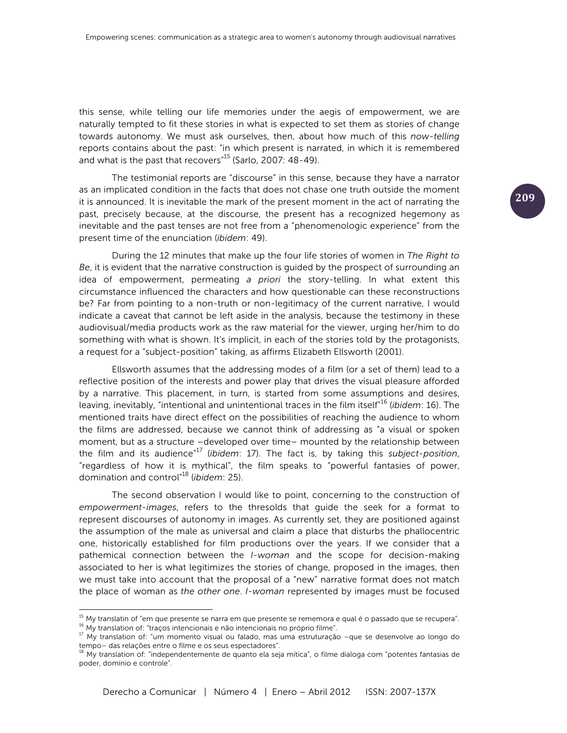this sense, while telling our life memories under the aegis of empowerment, we are naturally tempted to fit these stories in what is expected to set them as stories of change towards autonomy. We must ask ourselves, then, about how much of this *now-telling*  reports contains about the past: "in which present is narrated, in which it is remembered and what is the past that recovers<sup>"15</sup> (Sarlo, 2007: 48-49).

The testimonial reports are "discourse" in this sense, because they have a narrator as an implicated condition in the facts that does not chase one truth outside the moment it is announced. It is inevitable the mark of the present moment in the act of narrating the past, precisely because, at the discourse, the present has a recognized hegemony as inevitable and the past tenses are not free from a "phenomenologic experience" from the present time of the enunciation (*ibidem*: 49).

During the 12 minutes that make up the four life stories of women in *The Right to Be*, it is evident that the narrative construction is guided by the prospect of surrounding an idea of empowerment, permeating *a priori* the story-telling. In what extent this circumstance influenced the characters and how questionable can these reconstructions be? Far from pointing to a non-truth or non-legitimacy of the current narrative, I would indicate a caveat that cannot be left aside in the analysis, because the testimony in these audiovisual/media products work as the raw material for the viewer, urging her/him to do something with what is shown. It's implicit, in each of the stories told by the protagonists, a request for a "subject-position" taking, as affirms Elizabeth Ellsworth (2001).

Ellsworth assumes that the addressing modes of a film (or a set of them) lead to a reflective position of the interests and power play that drives the visual pleasure afforded by a narrative. This placement, in turn, is started from some assumptions and desires, leaving, inevitably, "intentional and unintentional traces in the film itself"<sup>16</sup> (*ibidem*: 16). The mentioned traits have direct effect on the possibilities of reaching the audience to whom the films are addressed, because we cannot think of addressing as "a visual or spoken moment, but as a structure –developed over time– mounted by the relationship between the film and its audience"<sup>17</sup> (*ibidem*: 17). The fact is, by taking this *subject-position*, "regardless of how it is mythical", the film speaks to "powerful fantasies of power, domination and control"18 (*ibidem*: 25).

The second observation I would like to point, concerning to the construction of *empowerment-images*, refers to the thresolds that guide the seek for a format to represent discourses of autonomy in images. As currently set, they are positioned against the assumption of the male as universal and claim a place that disturbs the phallocentric one, historically established for film productions over the years. If we consider that a pathemical connection between the *I-woman* and the scope for decision-making associated to her is what legitimizes the stories of change, proposed in the images, then we must take into account that the proposal of a "new" narrative format does not match the place of woman as *the other one*. *I-woman* represented by images must be focused

 

 $^{15}$  My translatin of "em que presente se narra em que presente se rememora e qual é o passado que se recupera". <sup>16</sup> My translation of: "traços intencionais e não intencionais no próprio filme".

<sup>&</sup>lt;sup>17</sup> My translation of: "um momento visual ou falado, mas uma estruturação -que se desenvolve ao longo do tempo– das relações entre o filme e os seus espectadores".

<sup>18</sup> My translation of: "independentemente de quanto ela seja mítica", o filme dialoga com "potentes fantasias de poder, domínio e controle".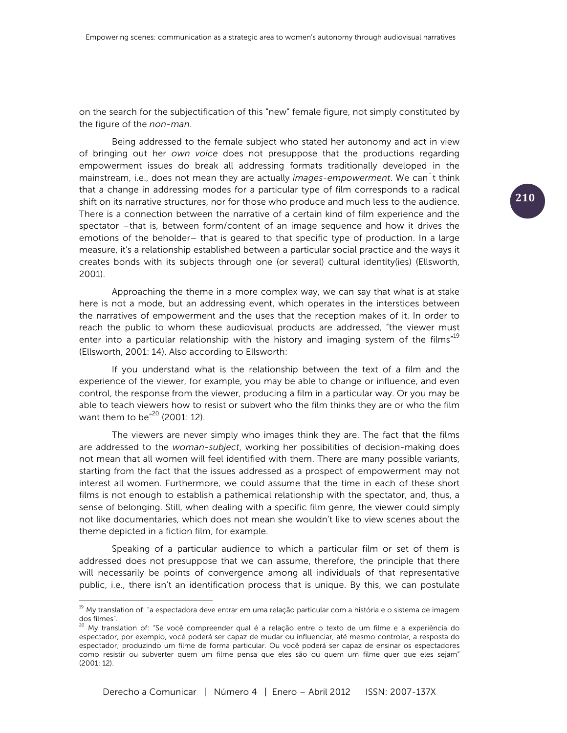on the search for the subjectification of this "new" female figure, not simply constituted by the figure of the *non-man*.

Being addressed to the female subject who stated her autonomy and act in view of bringing out her *own voice* does not presuppose that the productions regarding empowerment issues do break all addressing formats traditionally developed in the mainstream, i.e., does not mean they are actually *images-empowerment*. We can´t think that a change in addressing modes for a particular type of film corresponds to a radical shift on its narrative structures, nor for those who produce and much less to the audience. There is a connection between the narrative of a certain kind of film experience and the spectator –that is, between form/content of an image sequence and how it drives the emotions of the beholder– that is geared to that specific type of production. In a large measure, it's a relationship established between a particular social practice and the ways it creates bonds with its subjects through one (or several) cultural identity(ies) (Ellsworth, 2001).

Approaching the theme in a more complex way, we can say that what is at stake here is not a mode, but an addressing event, which operates in the interstices between the narratives of empowerment and the uses that the reception makes of it. In order to reach the public to whom these audiovisual products are addressed, "the viewer must enter into a particular relationship with the history and imaging system of the films<sup>19</sup> (Ellsworth, 2001: 14). Also according to Ellsworth:

If you understand what is the relationship between the text of a film and the experience of the viewer, for example, you may be able to change or influence, and even control, the response from the viewer, producing a film in a particular way. Or you may be able to teach viewers how to resist or subvert who the film thinks they are or who the film want them to be<sup>"20</sup> (2001: 12).

The viewers are never simply who images think they are. The fact that the films are addressed to the *woman-subject*, working her possibilities of decision-making does not mean that all women will feel identified with them. There are many possible variants, starting from the fact that the issues addressed as a prospect of empowerment may not interest all women. Furthermore, we could assume that the time in each of these short films is not enough to establish a pathemical relationship with the spectator, and, thus, a sense of belonging. Still, when dealing with a specific film genre, the viewer could simply not like documentaries, which does not mean she wouldn't like to view scenes about the theme depicted in a fiction film, for example.

Speaking of a particular audience to which a particular film or set of them is addressed does not presuppose that we can assume, therefore, the principle that there will necessarily be points of convergence among all individuals of that representative public, i.e., there isn't an identification process that is unique. By this, we can postulate

 $^{19}$  My translation of: "a espectadora deve entrar em uma relação particular com a história e o sistema de imagem dos filmes".

<sup>&</sup>lt;sup>20</sup> My translation of: "Se você compreender qual é a relação entre o texto de um filme e a experiência do espectador, por exemplo, você poderá ser capaz de mudar ou influenciar, até mesmo controlar, a resposta do espectador; produzindo um filme de forma particular. Ou você poderá ser capaz de ensinar os espectadores como resistir ou subverter quem um filme pensa que eles são ou quem um filme quer que eles sejam" (2001: 12).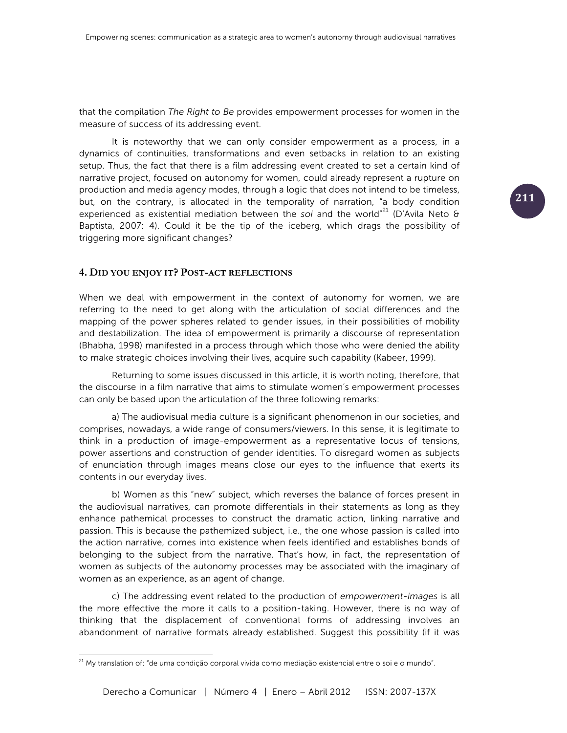that the compilation *The Right to Be* provides empowerment processes for women in the measure of success of its addressing event.

It is noteworthy that we can only consider empowerment as a process, in a dynamics of continuities, transformations and even setbacks in relation to an existing setup. Thus, the fact that there is a film addressing event created to set a certain kind of narrative project, focused on autonomy for women, could already represent a rupture on production and media agency modes, through a logic that does not intend to be timeless, but, on the contrary, is allocated in the temporality of narration, "a body condition experienced as existential mediation between the *soi* and the world"<sup>21</sup> (D'Avila Neto & Baptista, 2007: 4). Could it be the tip of the iceberg, which drags the possibility of triggering more significant changes?

### **4. DID YOU ENJOY IT? POST-ACT REFLECTIONS**

When we deal with empowerment in the context of autonomy for women, we are referring to the need to get along with the articulation of social differences and the mapping of the power spheres related to gender issues, in their possibilities of mobility and destabilization. The idea of empowerment is primarily a discourse of representation (Bhabha, 1998) manifested in a process through which those who were denied the ability to make strategic choices involving their lives, acquire such capability (Kabeer, 1999).

Returning to some issues discussed in this article, it is worth noting, therefore, that the discourse in a film narrative that aims to stimulate women's empowerment processes can only be based upon the articulation of the three following remarks:

a) The audiovisual media culture is a significant phenomenon in our societies, and comprises, nowadays, a wide range of consumers/viewers. In this sense, it is legitimate to think in a production of image-empowerment as a representative locus of tensions, power assertions and construction of gender identities. To disregard women as subjects of enunciation through images means close our eyes to the influence that exerts its contents in our everyday lives.

b) Women as this "new" subject, which reverses the balance of forces present in the audiovisual narratives, can promote differentials in their statements as long as they enhance pathemical processes to construct the dramatic action, linking narrative and passion. This is because the pathemized subject, i.e., the one whose passion is called into the action narrative, comes into existence when feels identified and establishes bonds of belonging to the subject from the narrative. That's how, in fact, the representation of women as subjects of the autonomy processes may be associated with the imaginary of women as an experience, as an agent of change.

c) The addressing event related to the production of *empowerment-images* is all the more effective the more it calls to a position-taking. However, there is no way of thinking that the displacement of conventional forms of addressing involves an abandonment of narrative formats already established. Suggest this possibility (if it was

 $^{21}$  My translation of: "de uma condição corporal vivida como mediação existencial entre o soi e o mundo".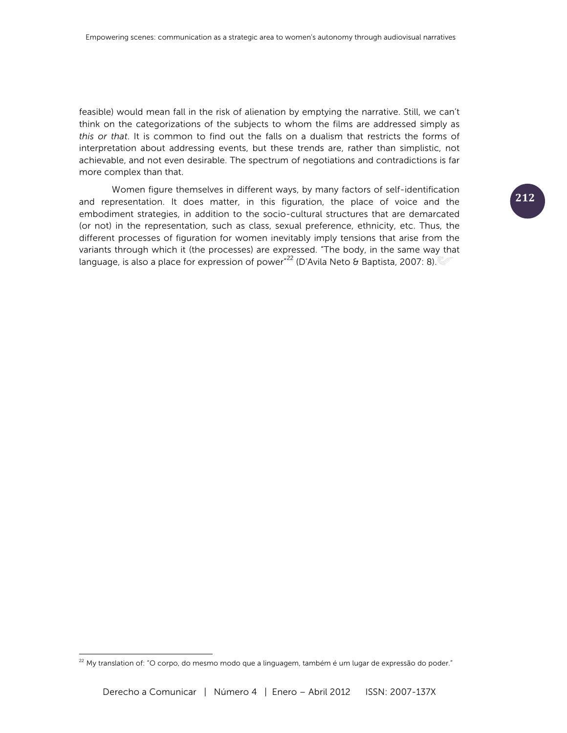feasible) would mean fall in the risk of alienation by emptying the narrative. Still, we can't think on the categorizations of the subjects to whom the films are addressed simply as *this or that*. It is common to find out the falls on a dualism that restricts the forms of interpretation about addressing events, but these trends are, rather than simplistic, not achievable, and not even desirable. The spectrum of negotiations and contradictions is far more complex than that.

Women figure themselves in different ways, by many factors of self-identification and representation. It does matter, in this figuration, the place of voice and the embodiment strategies, in addition to the socio-cultural structures that are demarcated (or not) in the representation, such as class, sexual preference, ethnicity, etc. Thus, the different processes of figuration for women inevitably imply tensions that arise from the variants through which it (the processes) are expressed. "The body, in the same way that language, is also a place for expression of power<sup>"22</sup> (D'Avila Neto & Baptista, 2007: 8).

 $^{22}$  My translation of: "O corpo, do mesmo modo que a linguagem, também é um lugar de expressão do poder."